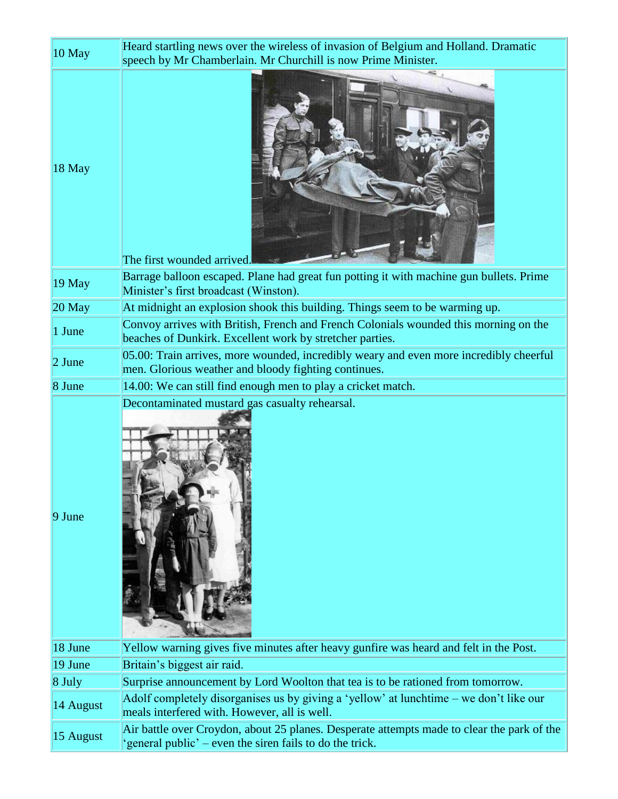| $10$ May           | Heard startling news over the wireless of invasion of Belgium and Holland. Dramatic<br>speech by Mr Chamberlain. Mr Churchill is now Prime Minister. |
|--------------------|------------------------------------------------------------------------------------------------------------------------------------------------------|
| $ 18 \text{ May} $ | The first wounded arrived.                                                                                                                           |
| 19 May             | Barrage balloon escaped. Plane had great fun potting it with machine gun bullets. Prime<br>Minister's first broadcast (Winston).                     |
| $ 20 \text{ May} $ | At midnight an explosion shook this building. Things seem to be warming up.                                                                          |
| 1 June             | Convoy arrives with British, French and French Colonials wounded this morning on the<br>beaches of Dunkirk. Excellent work by stretcher parties.     |
| $2$ June           | 05.00: Train arrives, more wounded, incredibly weary and even more incredibly cheerful<br>men. Glorious weather and bloody fighting continues.       |
| 8 June             | 14.00: We can still find enough men to play a cricket match.                                                                                         |
|                    |                                                                                                                                                      |
| $9$ June           | Decontaminated mustard gas casualty rehearsal.                                                                                                       |
| $ 18 \text{ June}$ | Yellow warning gives five minutes after heavy gunfire was heard and felt in the Post.                                                                |
| 19 June            | Britain's biggest air raid.                                                                                                                          |
| 8 July             | Surprise announcement by Lord Woolton that tea is to be rationed from tomorrow.                                                                      |
| 14 August          | Adolf completely disorganises us by giving a 'yellow' at lunchtime – we don't like our<br>meals interfered with. However, all is well.               |